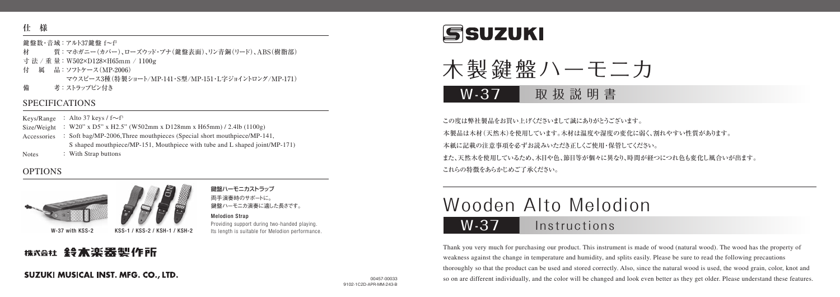### **仕 様**

#### 鍵盤数・音域:アルト37鍵盤 f~f<sup>3</sup>

- 材 質:マホガニー(カバー)、ローズウッド・ブナ(鍵盤表面)、リン青銅(リード)、ABS(樹脂部)
- 寸 法 / 重 量:W502×D128×H65mm / 1100g
- 付 属 品:ソフトケース(MP-2006) マウスピース3種(特製ショート/MP-141・S型/MP-151・L字ジョイントロング/MP-171)
- 備 考:ストラップビン付き

### SPECIFICATIONS

Keys/Range ∶ Alto 37 keys / f∼f<sup>3</sup>

- Size/Weight : W20" x D5" x H2.5" (W502mm x D128mm x H65mm) / 2.4lb (1100g)
- Accessories : Soft bag/MP-2006,Three mouthpieces (Special short mouthpiece/MP-141, S shaped mouthpiece/MP-151, Mouthpiece with tube and L shaped joint/MP-171)
- Notes : With Strap buttons

### **OPTIONS**



W-37 with KSS-2 KSS-1 / KSS-2 / KSH-1 / KSH-2

<sub>株式会社</sub> 鈴木楽器製作所

### 鍵盤ハーモニカストラップ 両手演奏時のサポートに。

鍵盤ハーモニカ演奏に適した長さです。

### Melodion Strap

Providing support during two-handed playing. Its length is suitable for Melodion performance.





W-37 取扱説明書

この度は弊社製品をお買い上げくださいまして誠にありがとうございます。 本製品は木材(天然木)を使用しています。木材は温度や湿度の変化に弱く、割れやすい性質があります。 本紙に記載の注意事項を必ずお読みいただき正しくご使用・保管してください。 また、天然木を使用しているため、木目や色、節目等が個々に異なり、時間が経つにつれ色も変化し風合いが出ます。 これらの特徴をあらかじめご了承ください。

# Wooden Alto Melodion

## W-37 Instructions

Thank you very much for purchasing our product. This instrument is made of wood (natural wood). The wood has the property of weakness against the change in temperature and humidity, and splits easily. Please be sure to read the following precautions thoroughly so that the product can be used and stored correctly. Also, since the natural wood is used, the wood grain, color, knot and so on are different individually, and the color will be changed and look even better as they get older. Please understand these features.

## SUZUKI MUSICAL INST. MFG. CO., LTD.

00457-00033 9102-1C2D-APR-MM-243-B